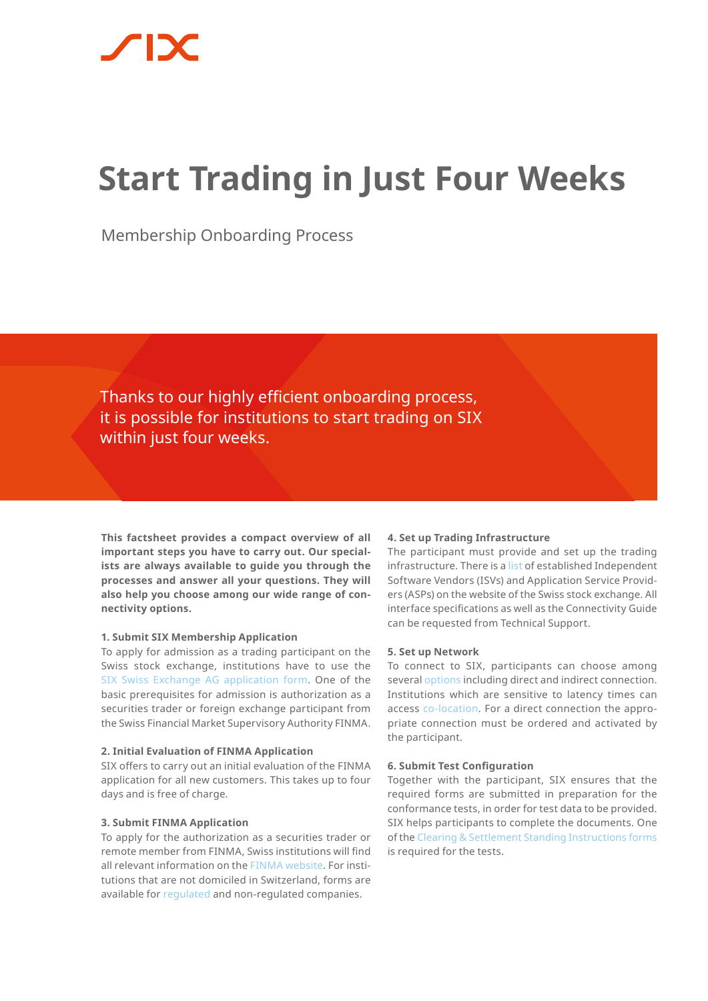# **Start Trading in Just Four Weeks**

Membership Onboarding Process

Thanks to our highly efficient onboarding process, it is possible for institutions to start trading on SIX within just four weeks.

**This factsheet provides a compact overview of all important steps you have to carry out. Our specialists are always available to guide you through the processes and answer all your questions. They will also help you choose among our wide range of connectivity options.** 

### **1. Submit SIX Membership Application**

To apply for admission as a trading participant on the Swiss stock exchange, institutions have to use the SIX [Swiss Exchange AG application form.](https://www.six-group.com/exchanges/download/participants/participation/forms/ssx_participation.pdf) One of the basic prerequisites for admission is authorization as a securities trader or foreign exchange participant from the Swiss Financial Market Supervisory Authority FINMA.

### **2. Initial Evaluation of FINMA Application**

SIX offers to carry out an initial evaluation of the FINMA application for all new customers. This takes up to four days and is free of charge.

### **3. Submit FINMA Application**

To apply for the authorization as a securities trader or remote member from FINMA, Swiss institutions will find all relevant information on the [FINMA website.](https://www.finma.ch/en/) For institutions that are not domiciled in Switzerland, forms are available for [regulated](https://www.six-group.com/exchanges/download/participants/participation/forms/finma_template_regulated_en.pdf) and non-regulated companies.

### **4. Set up Trading Infrastructure**

The participant must provide and set up the trading infrastructure. There is a [list](https://www.six-group.com/exchanges/participants/participation/types/service_provider/list_en.html) of established Independent Software Vendors (ISVs) and Application Service Providers (ASPs) on the website of the Swiss stock exchange. All interface specifications as well as the Connectivity Guide can be requested from Technical Support.

### **5. Set up Network**

To connect to SIX, participants can choose among several [options](https://www.six-group.com/exchanges/participants/participation/connectivity/types_connectivity_en.html) including direct and indirect connection. Institutions which are sensitive to latency times can access [co-location](https://www.six-group.com/exchanges/participants/participation/connectivity_en.html). For a direct connection the appropriate connection must be ordered and activated by the participant.

### **6. Submit Test Configuration**

Together with the participant, SIX ensures that the required forms are submitted in preparation for the conformance tests, in order for test data to be provided. SIX helps participants to complete the documents. One of the [Clearing & Settlement Standing Instructions forms](https://www.six-group.com/exchanges/participants/participation/forms_en.html) is required for the tests.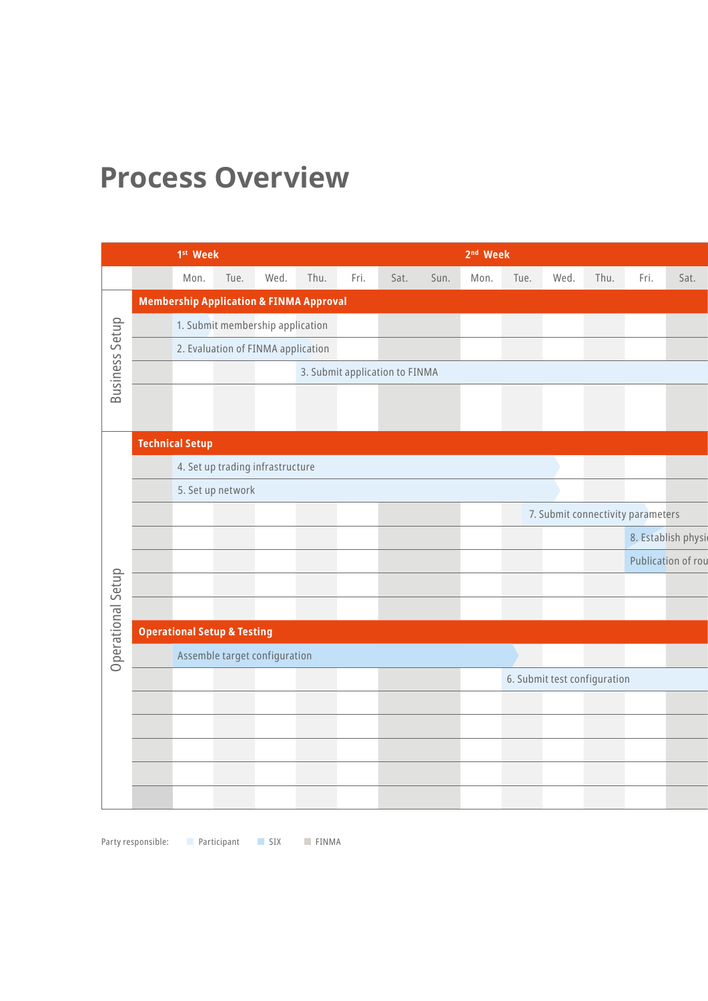## **Process Overview**

|                       |                                        | 1 <sup>st</sup> Week                               |      |                                    |                                |      |      |                                   | 2 <sup>nd</sup> Week |      |                              |      |      |                    |
|-----------------------|----------------------------------------|----------------------------------------------------|------|------------------------------------|--------------------------------|------|------|-----------------------------------|----------------------|------|------------------------------|------|------|--------------------|
|                       |                                        | Mon.                                               | Tue. | Wed.                               | Thu.                           | Fri. | Sat. | Sun.                              | Mon.                 | Tue. | Wed.                         | Thu. | Fri. | Sat.               |
|                       |                                        | <b>Membership Application &amp; FINMA Approval</b> |      |                                    |                                |      |      |                                   |                      |      |                              |      |      |                    |
| <b>Business Setup</b> |                                        | 1. Submit membership application                   |      |                                    |                                |      |      |                                   |                      |      |                              |      |      |                    |
|                       |                                        |                                                    |      | 2. Evaluation of FINMA application |                                |      |      |                                   |                      |      |                              |      |      |                    |
|                       |                                        |                                                    |      |                                    | 3. Submit application to FINMA |      |      |                                   |                      |      |                              |      |      |                    |
|                       |                                        |                                                    |      |                                    |                                |      |      |                                   |                      |      |                              |      |      |                    |
|                       |                                        |                                                    |      |                                    |                                |      |      |                                   |                      |      |                              |      |      |                    |
|                       | <b>Technical Setup</b>                 |                                                    |      |                                    |                                |      |      |                                   |                      |      |                              |      |      |                    |
|                       |                                        |                                                    |      | 4. Set up trading infrastructure   |                                |      |      |                                   |                      |      |                              |      |      |                    |
|                       | 5. Set up network                      |                                                    |      |                                    |                                |      |      |                                   |                      |      |                              |      |      |                    |
|                       |                                        |                                                    |      |                                    |                                |      |      | 7. Submit connectivity parameters |                      |      |                              |      |      |                    |
|                       |                                        |                                                    |      |                                    |                                |      |      |                                   |                      |      |                              |      |      | 8. Establish physi |
|                       |                                        |                                                    |      |                                    |                                |      |      |                                   |                      |      |                              |      |      | Publication of rou |
|                       |                                        |                                                    |      |                                    |                                |      |      |                                   |                      |      |                              |      |      |                    |
| Operational Setup     |                                        |                                                    |      |                                    |                                |      |      |                                   |                      |      |                              |      |      |                    |
|                       | <b>Operational Setup &amp; Testing</b> |                                                    |      |                                    |                                |      |      |                                   |                      |      |                              |      |      |                    |
|                       | Assemble target configuration          |                                                    |      |                                    |                                |      |      |                                   |                      |      |                              |      |      |                    |
|                       |                                        |                                                    |      |                                    |                                |      |      |                                   |                      |      | 6. Submit test configuration |      |      |                    |
|                       |                                        |                                                    |      |                                    |                                |      |      |                                   |                      |      |                              |      |      |                    |
|                       |                                        |                                                    |      |                                    |                                |      |      |                                   |                      |      |                              |      |      |                    |
|                       |                                        |                                                    |      |                                    |                                |      |      |                                   |                      |      |                              |      |      |                    |
|                       |                                        |                                                    |      |                                    |                                |      |      |                                   |                      |      |                              |      |      |                    |
|                       |                                        |                                                    |      |                                    |                                |      |      |                                   |                      |      |                              |      |      |                    |

Party responsible: Participant SIX FINMA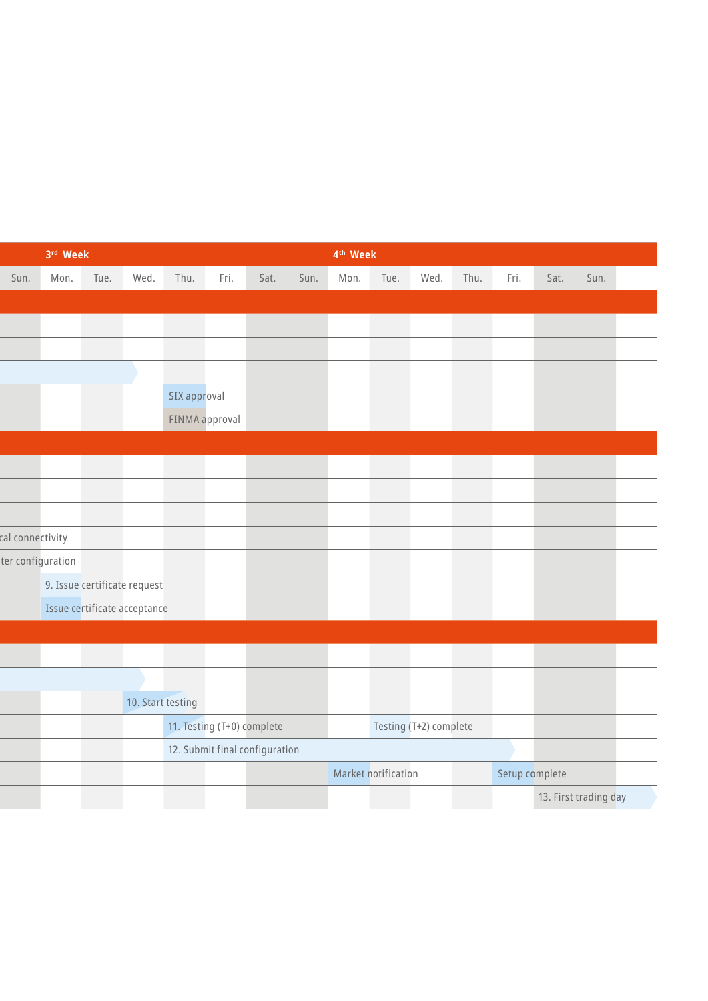|                   | 3rd Week                       |      |                              | 4 <sup>th</sup> Week |                            |      |                        |                     |      |      |  |           |                       |      |  |
|-------------------|--------------------------------|------|------------------------------|----------------------|----------------------------|------|------------------------|---------------------|------|------|--|-----------|-----------------------|------|--|
| Sun.              | Mon.                           | Tue. | Wed.                         | Thu.                 | Fri.                       | Sat. | Sun.                   | Mon.                | Tue. | Wed. |  | Thu. Fri. | Sat.                  | Sun. |  |
|                   |                                |      |                              |                      |                            |      |                        |                     |      |      |  |           |                       |      |  |
|                   |                                |      |                              |                      |                            |      |                        |                     |      |      |  |           |                       |      |  |
|                   |                                |      |                              |                      |                            |      |                        |                     |      |      |  |           |                       |      |  |
|                   |                                |      |                              |                      |                            |      |                        |                     |      |      |  |           |                       |      |  |
|                   |                                |      |                              | SIX approval         |                            |      |                        |                     |      |      |  |           |                       |      |  |
|                   |                                |      |                              | FINMA approval       |                            |      |                        |                     |      |      |  |           |                       |      |  |
|                   |                                |      |                              |                      |                            |      |                        |                     |      |      |  |           |                       |      |  |
|                   |                                |      |                              |                      |                            |      |                        |                     |      |      |  |           |                       |      |  |
|                   |                                |      |                              |                      |                            |      |                        |                     |      |      |  |           |                       |      |  |
|                   |                                |      |                              |                      |                            |      |                        |                     |      |      |  |           |                       |      |  |
| cal connectivity  |                                |      |                              |                      |                            |      |                        |                     |      |      |  |           |                       |      |  |
| ter configuration |                                |      |                              |                      |                            |      |                        |                     |      |      |  |           |                       |      |  |
|                   |                                |      | 9. Issue certificate request |                      |                            |      |                        |                     |      |      |  |           |                       |      |  |
|                   |                                |      | Issue certificate acceptance |                      |                            |      |                        |                     |      |      |  |           |                       |      |  |
|                   |                                |      |                              |                      |                            |      |                        |                     |      |      |  |           |                       |      |  |
|                   |                                |      |                              |                      |                            |      |                        |                     |      |      |  |           |                       |      |  |
|                   |                                |      |                              |                      |                            |      |                        |                     |      |      |  |           |                       |      |  |
|                   |                                |      | 10. Start testing            |                      |                            |      |                        |                     |      |      |  |           |                       |      |  |
|                   |                                |      |                              |                      | 11. Testing (T+0) complete |      |                        |                     |      |      |  |           |                       |      |  |
|                   | 12. Submit final configuration |      |                              |                      |                            |      | Testing (T+2) complete |                     |      |      |  |           |                       |      |  |
|                   |                                |      |                              |                      |                            |      |                        | Market notification |      |      |  |           | Setup complete        |      |  |
|                   |                                |      |                              |                      |                            |      |                        |                     |      |      |  |           | 13. First trading day |      |  |
|                   |                                |      |                              |                      |                            |      |                        |                     |      |      |  |           |                       |      |  |